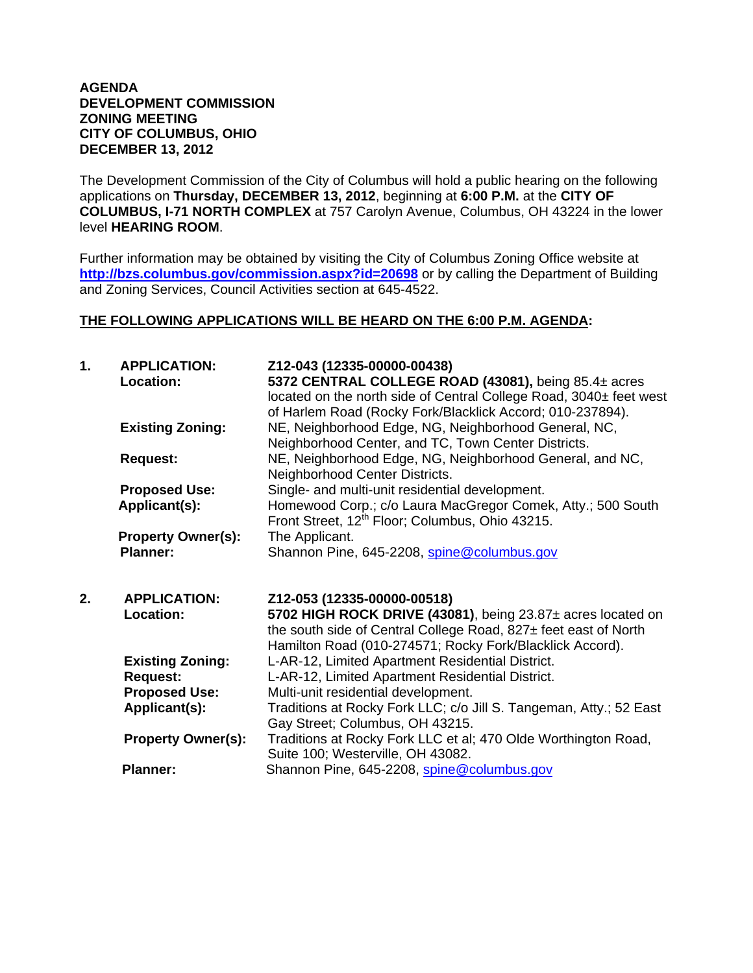### **AGENDA DEVELOPMENT COMMISSION ZONING MEETING CITY OF COLUMBUS, OHIO DECEMBER 13, 2012**

The Development Commission of the City of Columbus will hold a public hearing on the following applications on **Thursday, DECEMBER 13, 2012**, beginning at **6:00 P.M.** at the **CITY OF COLUMBUS, I-71 NORTH COMPLEX** at 757 Carolyn Avenue, Columbus, OH 43224 in the lower level **HEARING ROOM**.

Further information may be obtained by visiting the City of Columbus Zoning Office website at **http://bzs.columbus.gov/commission.aspx?id=20698** or by calling the Department of Building and Zoning Services, Council Activities section at 645-4522.

## **THE FOLLOWING APPLICATIONS WILL BE HEARD ON THE 6:00 P.M. AGENDA:**

| 1. | <b>APPLICATION:</b><br><b>Location:</b>      | Z12-043 (12335-00000-00438)<br>5372 CENTRAL COLLEGE ROAD (43081), being 85.4± acres<br>located on the north side of Central College Road, 3040± feet west<br>of Harlem Road (Rocky Fork/Blacklick Accord; 010-237894). |
|----|----------------------------------------------|------------------------------------------------------------------------------------------------------------------------------------------------------------------------------------------------------------------------|
|    | <b>Existing Zoning:</b>                      | NE, Neighborhood Edge, NG, Neighborhood General, NC,<br>Neighborhood Center, and TC, Town Center Districts.                                                                                                            |
|    | <b>Request:</b>                              | NE, Neighborhood Edge, NG, Neighborhood General, and NC,<br>Neighborhood Center Districts.                                                                                                                             |
|    | <b>Proposed Use:</b><br>Applicant(s):        | Single- and multi-unit residential development.<br>Homewood Corp.; c/o Laura MacGregor Comek, Atty.; 500 South<br>Front Street, 12 <sup>th</sup> Floor; Columbus, Ohio 43215.                                          |
|    | <b>Property Owner(s):</b><br><b>Planner:</b> | The Applicant.<br>Shannon Pine, 645-2208, spine@columbus.gov                                                                                                                                                           |
|    |                                              |                                                                                                                                                                                                                        |
| 2. | <b>APPLICATION:</b><br>Location:             | Z12-053 (12335-00000-00518)<br>5702 HIGH ROCK DRIVE (43081), being 23.87± acres located on<br>the south side of Central College Road, 827± feet east of North                                                          |
|    | <b>Existing Zoning:</b><br><b>Request:</b>   | Hamilton Road (010-274571; Rocky Fork/Blacklick Accord).<br>L-AR-12, Limited Apartment Residential District.<br>L-AR-12, Limited Apartment Residential District.                                                       |
|    | <b>Proposed Use:</b><br>Applicant(s):        | Multi-unit residential development.<br>Traditions at Rocky Fork LLC; c/o Jill S. Tangeman, Atty.; 52 East                                                                                                              |
|    | <b>Property Owner(s):</b>                    | Gay Street; Columbus, OH 43215.<br>Traditions at Rocky Fork LLC et al; 470 Olde Worthington Road,<br>Suite 100; Westerville, OH 43082.                                                                                 |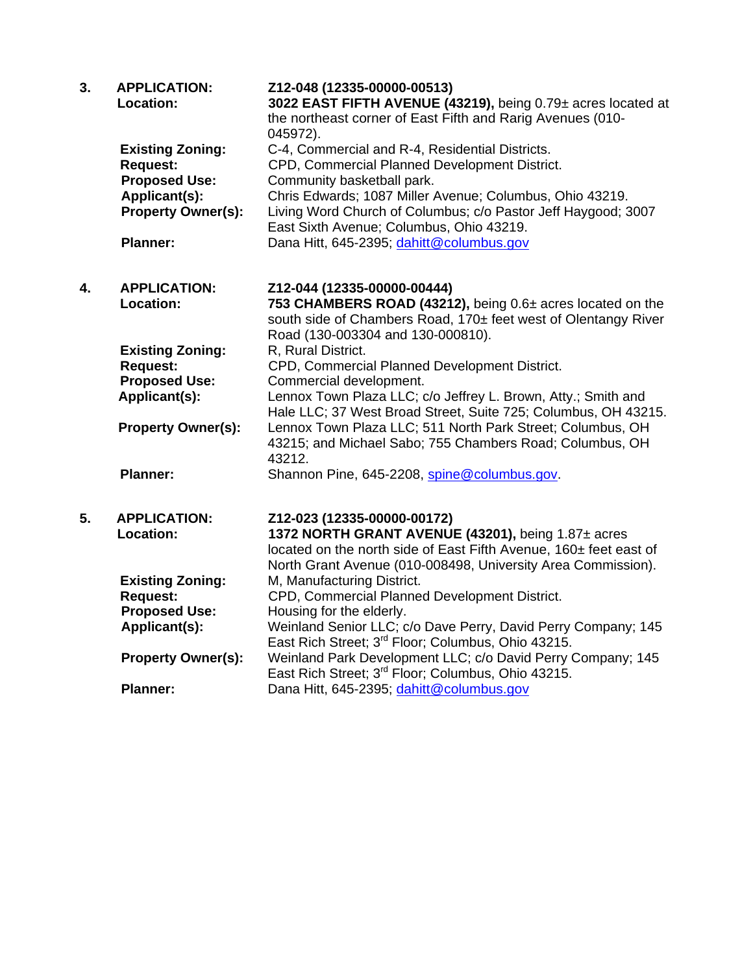| 3. | <b>APPLICATION:</b><br>Location:                                                                                                    | Z12-048 (12335-00000-00513)<br>3022 EAST FIFTH AVENUE (43219), being 0.79± acres located at<br>the northeast corner of East Fifth and Rarig Avenues (010-<br>045972).                                                                                                                                                                               |
|----|-------------------------------------------------------------------------------------------------------------------------------------|-----------------------------------------------------------------------------------------------------------------------------------------------------------------------------------------------------------------------------------------------------------------------------------------------------------------------------------------------------|
|    | <b>Existing Zoning:</b><br><b>Request:</b><br><b>Proposed Use:</b><br>Applicant(s):<br><b>Property Owner(s):</b><br><b>Planner:</b> | C-4, Commercial and R-4, Residential Districts.<br>CPD, Commercial Planned Development District.<br>Community basketball park.<br>Chris Edwards; 1087 Miller Avenue; Columbus, Ohio 43219.<br>Living Word Church of Columbus; c/o Pastor Jeff Haygood; 3007<br>East Sixth Avenue; Columbus, Ohio 43219.<br>Dana Hitt, 645-2395; dahitt@columbus.gov |
| 4. | <b>APPLICATION:</b><br>Location:                                                                                                    | Z12-044 (12335-00000-00444)<br>753 CHAMBERS ROAD (43212), being 0.6± acres located on the<br>south side of Chambers Road, 170± feet west of Olentangy River                                                                                                                                                                                         |
|    | <b>Existing Zoning:</b><br><b>Request:</b><br><b>Proposed Use:</b>                                                                  | Road (130-003304 and 130-000810).<br>R, Rural District.<br>CPD, Commercial Planned Development District.<br>Commercial development.                                                                                                                                                                                                                 |
|    | Applicant(s):<br><b>Property Owner(s):</b>                                                                                          | Lennox Town Plaza LLC; c/o Jeffrey L. Brown, Atty.; Smith and<br>Hale LLC; 37 West Broad Street, Suite 725; Columbus, OH 43215.<br>Lennox Town Plaza LLC; 511 North Park Street; Columbus, OH<br>43215; and Michael Sabo; 755 Chambers Road; Columbus, OH                                                                                           |
|    | <b>Planner:</b>                                                                                                                     | 43212.<br>Shannon Pine, 645-2208, spine@columbus.gov.                                                                                                                                                                                                                                                                                               |
| 5. | <b>APPLICATION:</b><br>Location:                                                                                                    | Z12-023 (12335-00000-00172)<br>1372 NORTH GRANT AVENUE (43201), being 1.87± acres<br>located on the north side of East Fifth Avenue, 160± feet east of<br>North Grant Avenue (010-008498, University Area Commission).                                                                                                                              |
|    | <b>Existing Zoning:</b>                                                                                                             | M, Manufacturing District.                                                                                                                                                                                                                                                                                                                          |
|    | <b>Request:</b><br><b>Proposed Use:</b>                                                                                             | CPD, Commercial Planned Development District.<br>Housing for the elderly.                                                                                                                                                                                                                                                                           |
|    | Applicant(s):                                                                                                                       | Weinland Senior LLC; c/o Dave Perry, David Perry Company; 145<br>East Rich Street; 3 <sup>rd</sup> Floor; Columbus, Ohio 43215.                                                                                                                                                                                                                     |
|    | <b>Property Owner(s):</b>                                                                                                           | Weinland Park Development LLC; c/o David Perry Company; 145<br>East Rich Street; 3 <sup>rd</sup> Floor; Columbus, Ohio 43215.                                                                                                                                                                                                                       |
|    | <b>Planner:</b>                                                                                                                     | Dana Hitt, 645-2395; dahitt@columbus.gov                                                                                                                                                                                                                                                                                                            |